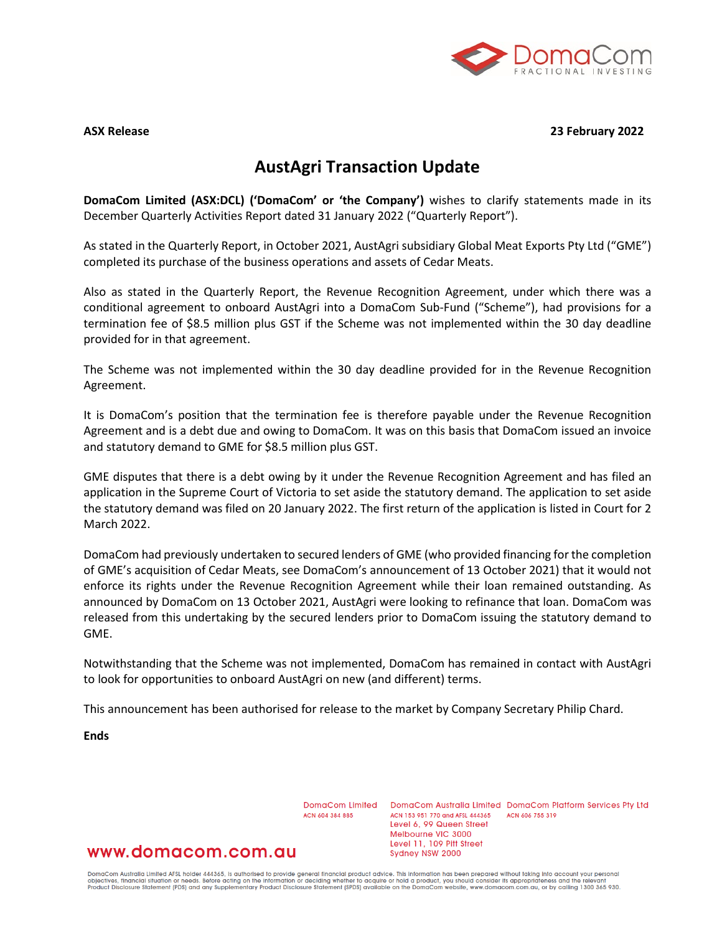

#### **ASX Release 23 February 2022**

# **AustAgri Transaction Update**

**DomaCom Limited (ASX:DCL) ('DomaCom' or 'the Company')** wishes to clarify statements made in its December Quarterly Activities Report dated 31 January 2022 ("Quarterly Report").

As stated in the Quarterly Report, in October 2021, AustAgri subsidiary Global Meat Exports Pty Ltd ("GME") completed its purchase of the business operations and assets of Cedar Meats.

Also as stated in the Quarterly Report, the Revenue Recognition Agreement, under which there was a conditional agreement to onboard AustAgri into a DomaCom Sub-Fund ("Scheme"), had provisions for a termination fee of \$8.5 million plus GST if the Scheme was not implemented within the 30 day deadline provided for in that agreement.

The Scheme was not implemented within the 30 day deadline provided for in the Revenue Recognition Agreement.

It is DomaCom's position that the termination fee is therefore payable under the Revenue Recognition Agreement and is a debt due and owing to DomaCom. It was on this basis that DomaCom issued an invoice and statutory demand to GME for \$8.5 million plus GST.

GME disputes that there is a debt owing by it under the Revenue Recognition Agreement and has filed an application in the Supreme Court of Victoria to set aside the statutory demand. The application to set aside the statutory demand was filed on 20 January 2022. The first return of the application is listed in Court for 2 March 2022.

DomaCom had previously undertaken to secured lenders of GME (who provided financing for the completion of GME's acquisition of Cedar Meats, see DomaCom's announcement of 13 October 2021) that it would not enforce its rights under the Revenue Recognition Agreement while their loan remained outstanding. As announced by DomaCom on 13 October 2021, AustAgri were looking to refinance that loan. DomaCom was released from this undertaking by the secured lenders prior to DomaCom issuing the statutory demand to GME.

Notwithstanding that the Scheme was not implemented, DomaCom has remained in contact with AustAgri to look for opportunities to onboard AustAgri on new (and different) terms.

This announcement has been authorised for release to the market by Company Secretary Philip Chard.

**Ends**

ACN 604 384 885

DomaCom Limited DomaCom Australia Limited DomaCom Platform Services Pty Ltd ACN 153 951 770 and AFSL 444365 ACN 606 755 319 Level 6, 99 Queen Street Melbourne VIC 3000 Level 11, 109 Pitt Street Sydney NSW 2000

# www.domacom.com.au

DomaCom Australia Limited AFSL holder 444365, is authorised to provide general financial product advice. This information has been prepared without taking into account your personal<br>objectives, financial situation or needs